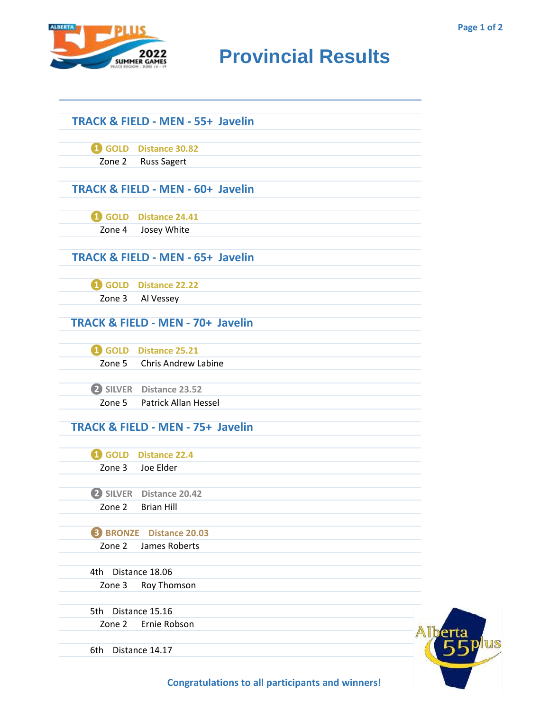

## **Provincial Results**

|                 | <b>TRACK &amp; FIELD - MEN - 55+ Javelin</b> |
|-----------------|----------------------------------------------|
|                 |                                              |
|                 | 4 GOLD Distance 30.82                        |
| Zone 2          | <b>Russ Sagert</b>                           |
|                 |                                              |
|                 | <b>TRACK &amp; FIELD - MEN - 60+ Javelin</b> |
|                 |                                              |
| <b>i</b> GOLD   | <b>Distance 24.41</b>                        |
| Zone 4          | Josey White                                  |
|                 |                                              |
|                 | <b>TRACK &amp; FIELD - MEN - 65+ Javelin</b> |
|                 |                                              |
|                 | 4 GOLD Distance 22.22                        |
| Zone 3          | Al Vessey                                    |
|                 |                                              |
|                 | <b>TRACK &amp; FIELD - MEN - 70+ Javelin</b> |
|                 |                                              |
|                 | <b>1</b> GOLD Distance 25.21                 |
|                 | Zone 5 Chris Andrew Labine                   |
|                 |                                              |
|                 | 2 SILVER Distance 23.52                      |
| Zone 5          | <b>Patrick Allan Hessel</b>                  |
|                 | <b>TRACK &amp; FIELD - MEN - 75+ Javelin</b> |
|                 |                                              |
|                 | GOLD Distance 22.4                           |
| Zone 3          | Joe Elder                                    |
|                 |                                              |
|                 | 2 SILVER Distance 20.42                      |
| Zone 2          | <b>Brian Hill</b>                            |
|                 |                                              |
| <b>B</b> BRONZE | <b>Distance 20.03</b>                        |
| Zone 2          | James Roberts                                |
|                 |                                              |
| 4th             | Distance 18.06                               |
| Zone 3          | Roy Thomson                                  |
|                 |                                              |
| 5th             | Distance 15.16                               |
| Zone 2          | Ernie Robson                                 |
|                 |                                              |
| 6th             | Distance 14.17                               |
|                 |                                              |



**Congratulations to all participants and winners!**